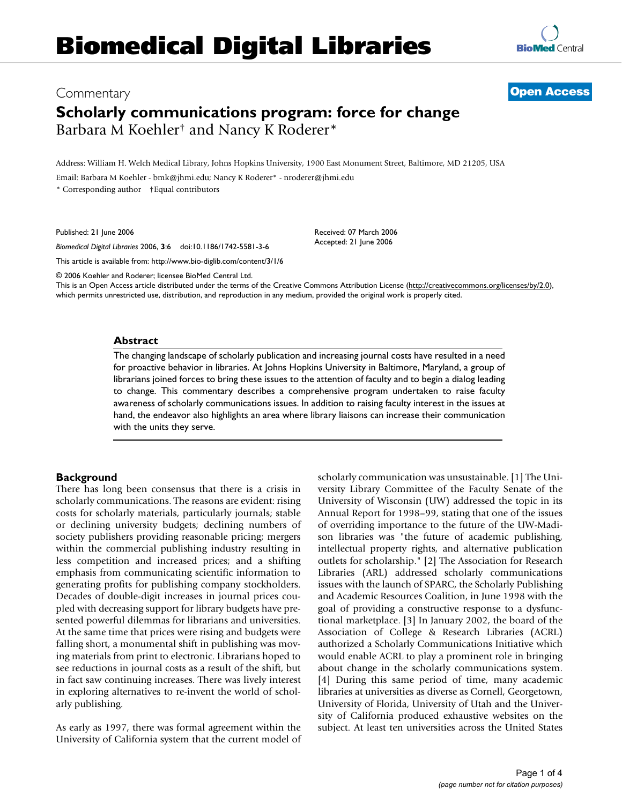# **Biomedical Digital Libraries**

# Commentary **Open Access**

# **Scholarly communications program: force for change** Barbara M Koehler<sup>†</sup> and Nancy K Roderer\*

Address: William H. Welch Medical Library, Johns Hopkins University, 1900 East Monument Street, Baltimore, MD 21205, USA

Email: Barbara M Koehler - bmk@jhmi.edu; Nancy K Roderer\* - nroderer@jhmi.edu

\* Corresponding author †Equal contributors

Published: 21 June 2006

*Biomedical Digital Libraries* 2006, **3**:6 doi:10.1186/1742-5581-3-6

This article is available from: http://www.bio-diglib.com/content/3/1/6

© 2006 Koehler and Roderer; licensee BioMed Central Ltd.

This is an Open Access article distributed under the terms of the Creative Commons Attribution License (http://creativecommons.org/licenses/by/2.0), which permits unrestricted use, distribution, and reproduction in any medium, provided the original work is properly cited.

Received: 07 March 2006 Accepted: 21 June 2006

#### **Abstract**

The changing landscape of scholarly publication and increasing journal costs have resulted in a need for proactive behavior in libraries. At Johns Hopkins University in Baltimore, Maryland, a group of librarians joined forces to bring these issues to the attention of faculty and to begin a dialog leading to change. This commentary describes a comprehensive program undertaken to raise faculty awareness of scholarly communications issues. In addition to raising faculty interest in the issues at hand, the endeavor also highlights an area where library liaisons can increase their communication with the units they serve.

### **Background**

There has long been consensus that there is a crisis in scholarly communications. The reasons are evident: rising costs for scholarly materials, particularly journals; stable or declining university budgets; declining numbers of society publishers providing reasonable pricing; mergers within the commercial publishing industry resulting in less competition and increased prices; and a shifting emphasis from communicating scientific information to generating profits for publishing company stockholders. Decades of double-digit increases in journal prices coupled with decreasing support for library budgets have presented powerful dilemmas for librarians and universities. At the same time that prices were rising and budgets were falling short, a monumental shift in publishing was moving materials from print to electronic. Librarians hoped to see reductions in journal costs as a result of the shift, but in fact saw continuing increases. There was lively interest in exploring alternatives to re-invent the world of scholarly publishing.

As early as 1997, there was formal agreement within the University of California system that the current model of scholarly communication was unsustainable. [1] The University Library Committee of the Faculty Senate of the University of Wisconsin (UW) addressed the topic in its Annual Report for 1998–99, stating that one of the issues of overriding importance to the future of the UW-Madison libraries was "the future of academic publishing, intellectual property rights, and alternative publication outlets for scholarship." [2] The Association for Research Libraries (ARL) addressed scholarly communications issues with the launch of SPARC, the Scholarly Publishing and Academic Resources Coalition, in June 1998 with the goal of providing a constructive response to a dysfunctional marketplace. [3] In January 2002, the board of the Association of College & Research Libraries (ACRL) authorized a Scholarly Communications Initiative which would enable ACRL to play a prominent role in bringing about change in the scholarly communications system. [4] During this same period of time, many academic libraries at universities as diverse as Cornell, Georgetown, University of Florida, University of Utah and the University of California produced exhaustive websites on the subject. At least ten universities across the United States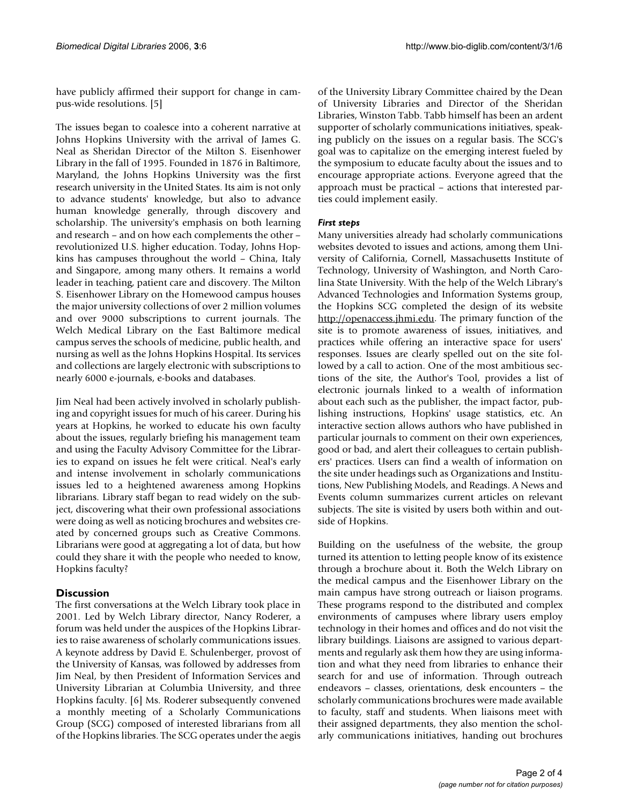have publicly affirmed their support for change in campus-wide resolutions. [5]

The issues began to coalesce into a coherent narrative at Johns Hopkins University with the arrival of James G. Neal as Sheridan Director of the Milton S. Eisenhower Library in the fall of 1995. Founded in 1876 in Baltimore, Maryland, the Johns Hopkins University was the first research university in the United States. Its aim is not only to advance students' knowledge, but also to advance human knowledge generally, through discovery and scholarship. The university's emphasis on both learning and research – and on how each complements the other – revolutionized U.S. higher education. Today, Johns Hopkins has campuses throughout the world – China, Italy and Singapore, among many others. It remains a world leader in teaching, patient care and discovery. The Milton S. Eisenhower Library on the Homewood campus houses the major university collections of over 2 million volumes and over 9000 subscriptions to current journals. The Welch Medical Library on the East Baltimore medical campus serves the schools of medicine, public health, and nursing as well as the Johns Hopkins Hospital. Its services and collections are largely electronic with subscriptions to nearly 6000 e-journals, e-books and databases.

Jim Neal had been actively involved in scholarly publishing and copyright issues for much of his career. During his years at Hopkins, he worked to educate his own faculty about the issues, regularly briefing his management team and using the Faculty Advisory Committee for the Libraries to expand on issues he felt were critical. Neal's early and intense involvement in scholarly communications issues led to a heightened awareness among Hopkins librarians. Library staff began to read widely on the subject, discovering what their own professional associations were doing as well as noticing brochures and websites created by concerned groups such as Creative Commons. Librarians were good at aggregating a lot of data, but how could they share it with the people who needed to know, Hopkins faculty?

# **Discussion**

The first conversations at the Welch Library took place in 2001. Led by Welch Library director, Nancy Roderer, a forum was held under the auspices of the Hopkins Libraries to raise awareness of scholarly communications issues. A keynote address by David E. Schulenberger, provost of the University of Kansas, was followed by addresses from Jim Neal, by then President of Information Services and University Librarian at Columbia University, and three Hopkins faculty. [6] Ms. Roderer subsequently convened a monthly meeting of a Scholarly Communications Group (SCG) composed of interested librarians from all of the Hopkins libraries. The SCG operates under the aegis

of the University Library Committee chaired by the Dean of University Libraries and Director of the Sheridan Libraries, Winston Tabb. Tabb himself has been an ardent supporter of scholarly communications initiatives, speaking publicly on the issues on a regular basis. The SCG's goal was to capitalize on the emerging interest fueled by the symposium to educate faculty about the issues and to encourage appropriate actions. Everyone agreed that the approach must be practical – actions that interested parties could implement easily.

## *First steps*

Many universities already had scholarly communications websites devoted to issues and actions, among them University of California, Cornell, Massachusetts Institute of Technology, University of Washington, and North Carolina State University. With the help of the Welch Library's Advanced Technologies and Information Systems group, the Hopkins SCG completed the design of its website http://openaccess.jhmi.edu. The primary function of the site is to promote awareness of issues, initiatives, and practices while offering an interactive space for users' responses. Issues are clearly spelled out on the site followed by a call to action. One of the most ambitious sections of the site, the Author's Tool, provides a list of electronic journals linked to a wealth of information about each such as the publisher, the impact factor, publishing instructions, Hopkins' usage statistics, etc. An interactive section allows authors who have published in particular journals to comment on their own experiences, good or bad, and alert their colleagues to certain publishers' practices. Users can find a wealth of information on the site under headings such as Organizations and Institutions, New Publishing Models, and Readings. A News and Events column summarizes current articles on relevant subjects. The site is visited by users both within and outside of Hopkins.

Building on the usefulness of the website, the group turned its attention to letting people know of its existence through a brochure about it. Both the Welch Library on the medical campus and the Eisenhower Library on the main campus have strong outreach or liaison programs. These programs respond to the distributed and complex environments of campuses where library users employ technology in their homes and offices and do not visit the library buildings. Liaisons are assigned to various departments and regularly ask them how they are using information and what they need from libraries to enhance their search for and use of information. Through outreach endeavors – classes, orientations, desk encounters – the scholarly communications brochures were made available to faculty, staff and students. When liaisons meet with their assigned departments, they also mention the scholarly communications initiatives, handing out brochures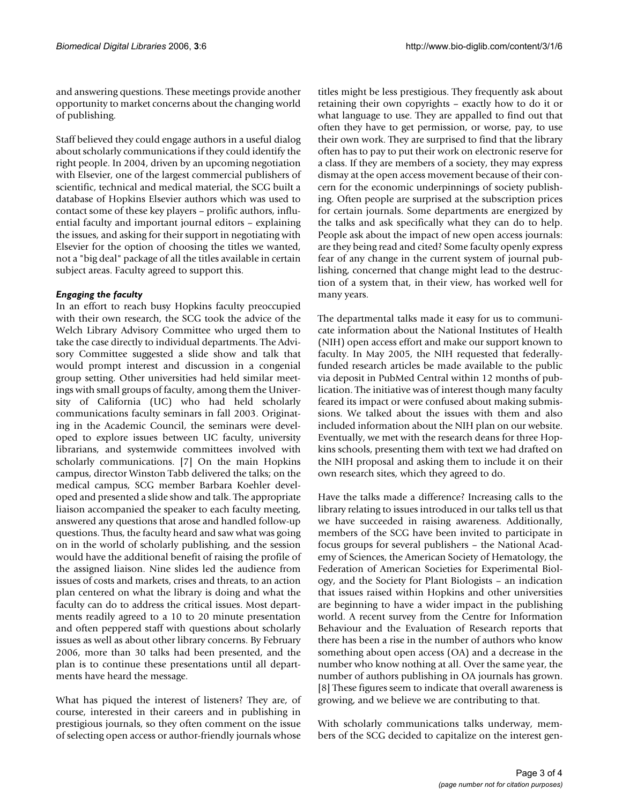and answering questions. These meetings provide another opportunity to market concerns about the changing world of publishing.

Staff believed they could engage authors in a useful dialog about scholarly communications if they could identify the right people. In 2004, driven by an upcoming negotiation with Elsevier, one of the largest commercial publishers of scientific, technical and medical material, the SCG built a database of Hopkins Elsevier authors which was used to contact some of these key players – prolific authors, influential faculty and important journal editors – explaining the issues, and asking for their support in negotiating with Elsevier for the option of choosing the titles we wanted, not a "big deal" package of all the titles available in certain subject areas. Faculty agreed to support this.

### *Engaging the faculty*

In an effort to reach busy Hopkins faculty preoccupied with their own research, the SCG took the advice of the Welch Library Advisory Committee who urged them to take the case directly to individual departments. The Advisory Committee suggested a slide show and talk that would prompt interest and discussion in a congenial group setting. Other universities had held similar meetings with small groups of faculty, among them the University of California (UC) who had held scholarly communications faculty seminars in fall 2003. Originating in the Academic Council, the seminars were developed to explore issues between UC faculty, university librarians, and systemwide committees involved with scholarly communications. [7] On the main Hopkins campus, director Winston Tabb delivered the talks; on the medical campus, SCG member Barbara Koehler developed and presented a slide show and talk. The appropriate liaison accompanied the speaker to each faculty meeting, answered any questions that arose and handled follow-up questions. Thus, the faculty heard and saw what was going on in the world of scholarly publishing, and the session would have the additional benefit of raising the profile of the assigned liaison. Nine slides led the audience from issues of costs and markets, crises and threats, to an action plan centered on what the library is doing and what the faculty can do to address the critical issues. Most departments readily agreed to a 10 to 20 minute presentation and often peppered staff with questions about scholarly issues as well as about other library concerns. By February 2006, more than 30 talks had been presented, and the plan is to continue these presentations until all departments have heard the message.

What has piqued the interest of listeners? They are, of course, interested in their careers and in publishing in prestigious journals, so they often comment on the issue of selecting open access or author-friendly journals whose titles might be less prestigious. They frequently ask about retaining their own copyrights – exactly how to do it or what language to use. They are appalled to find out that often they have to get permission, or worse, pay, to use their own work. They are surprised to find that the library often has to pay to put their work on electronic reserve for a class. If they are members of a society, they may express dismay at the open access movement because of their concern for the economic underpinnings of society publishing. Often people are surprised at the subscription prices for certain journals. Some departments are energized by the talks and ask specifically what they can do to help. People ask about the impact of new open access journals: are they being read and cited? Some faculty openly express fear of any change in the current system of journal publishing, concerned that change might lead to the destruction of a system that, in their view, has worked well for many years.

The departmental talks made it easy for us to communicate information about the National Institutes of Health (NIH) open access effort and make our support known to faculty. In May 2005, the NIH requested that federallyfunded research articles be made available to the public via deposit in PubMed Central within 12 months of publication. The initiative was of interest though many faculty feared its impact or were confused about making submissions. We talked about the issues with them and also included information about the NIH plan on our website. Eventually, we met with the research deans for three Hopkins schools, presenting them with text we had drafted on the NIH proposal and asking them to include it on their own research sites, which they agreed to do.

Have the talks made a difference? Increasing calls to the library relating to issues introduced in our talks tell us that we have succeeded in raising awareness. Additionally, members of the SCG have been invited to participate in focus groups for several publishers – the National Academy of Sciences, the American Society of Hematology, the Federation of American Societies for Experimental Biology, and the Society for Plant Biologists – an indication that issues raised within Hopkins and other universities are beginning to have a wider impact in the publishing world. A recent survey from the Centre for Information Behaviour and the Evaluation of Research reports that there has been a rise in the number of authors who know something about open access (OA) and a decrease in the number who know nothing at all. Over the same year, the number of authors publishing in OA journals has grown. [8] These figures seem to indicate that overall awareness is growing, and we believe we are contributing to that.

With scholarly communications talks underway, members of the SCG decided to capitalize on the interest gen